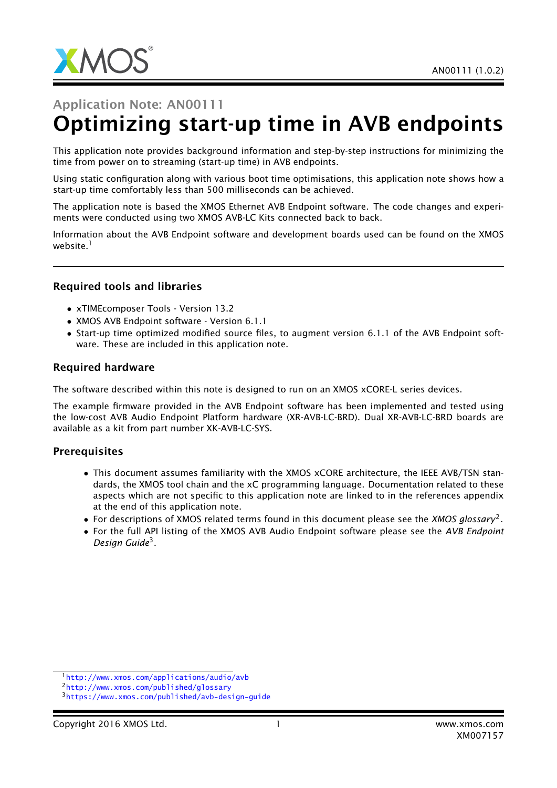

# Application Note: AN00111 Optimizing start-up time in AVB endpoints

This application note provides background information and step-by-step instructions for minimizing the time from power on to streaming (start-up time) in AVB endpoints.

Using static configuration along with various boot time optimisations, this application note shows how a start-up time comfortably less than 500 milliseconds can be achieved.

The application note is based the XMOS Ethernet AVB Endpoint software. The code changes and experiments were conducted using two XMOS AVB-LC Kits connected back to back.

Information about the AVB Endpoint software and development boards used can be found on the XMOS website.<sup>1</sup>

#### Required tools and libraries

- xTIMEcomposer Tools Version 13.2
- XMOS AVB Endpoint software Version 6.1.1
- Start-up time optimized modified source files, to augment version 6.1.1 of the AVB Endpoint software. These are included in this application note.

#### Required hardware

The software described within this note is designed to run on an XMOS xCORE-L series devices.

The example firmware provided in the AVB Endpoint software has been implemented and tested using the low-cost AVB Audio Endpoint Platform hardware (XR-AVB-LC-BRD). Dual XR-AVB-LC-BRD boards are available as a kit from part number XK-AVB-LC-SYS.

#### **Prerequisites**

- This document assumes familiarity with the XMOS xCORE architecture, the IEEE AVB/TSN standards, the XMOS tool chain and the xC programming language. Documentation related to these aspects which are not specific to this application note are linked to in the references appendix at the end of this application note.
- For descriptions of XMOS related terms found in this document please see the *XMOS glossary*<sup>2</sup> .
- For the full API listing of the XMOS AVB Audio Endpoint software please see the *AVB Endpoint Design Guide*<sup>3</sup> .

<sup>1</sup><http://www.xmos.com/applications/audio/avb>

<sup>2</sup><http://www.xmos.com/published/glossary>

<sup>3</sup><https://www.xmos.com/published/avb-design-guide>